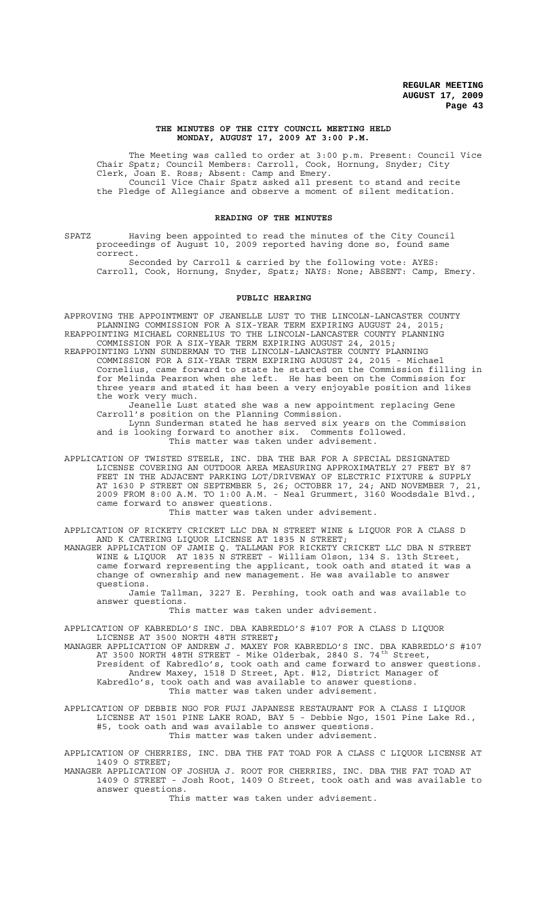### **THE MINUTES OF THE CITY COUNCIL MEETING HELD MONDAY, AUGUST 17, 2009 AT 3:00 P.M.**

The Meeting was called to order at 3:00 p.m. Present: Council Vice Chair Spatz; Council Members: Carroll, Cook, Hornung, Snyder; City Clerk, Joan E. Ross; Absent: Camp and Emery. Council Vice Chair Spatz asked all present to stand and recite the Pledge of Allegiance and observe a moment of silent meditation.

## **READING OF THE MINUTES**

SPATZ Having been appointed to read the minutes of the City Council proceedings of August 10, 2009 reported having done so, found same correct.

Seconded by Carroll & carried by the following vote: AYES: Carroll, Cook, Hornung, Snyder, Spatz; NAYS: None; ABSENT: Camp, Emery.

### **PUBLIC HEARING**

APPROVING THE APPOINTMENT OF JEANELLE LUST TO THE LINCOLN-LANCASTER COUNTY PLANNING COMMISSION FOR A SIX-YEAR TERM EXPIRING AUGUST 24, 2015; REAPPOINTING MICHAEL CORNELIUS TO THE LINCOLN-LANCASTER COUNTY PLANNING COMMISSION FOR A SIX-YEAR TERM EXPIRING AUGUST 24, 2015;

REAPPOINTING LYNN SUNDERMAN TO THE LINCOLN-LANCASTER COUNTY PLANNING COMMISSION FOR A SIX-YEAR TERM EXPIRING AUGUST 24, 2015 - Michael Cornelius, came forward to state he started on the Commission filling in for Melinda Pearson when she left. He has been on the Commission for three years and stated it has been a very enjoyable position and likes the work very much.

Jeanelle Lust stated she was a new appointment replacing Gene Carroll's position on the Planning Commission. Lynn Sunderman stated he has served six years on the Commission

and is looking forward to another six. Comments followed. This matter was taken under advisement.

APPLICATION OF TWISTED STEELE, INC. DBA THE BAR FOR A SPECIAL DESIGNATED LICENSE COVERING AN OUTDOOR AREA MEASURING APPROXIMATELY 27 FEET BY 87 FEET IN THE ADJACENT PARKING LOT/DRIVEWAY OF ELECTRIC FIXTURE & SUPPLY AT 1630 P STREET ON SEPTEMBER 5, 26; OCTOBER 17, 24; AND NOVEMBER 7, 21, 2009 FROM 8:00 A.M. TO 1:00 A.M. - Neal Grummert, 3160 Woodsdale Blvd., came forward to answer questions.

This matter was taken under advisement.

APPLICATION OF RICKETY CRICKET LLC DBA N STREET WINE & LIQUOR FOR A CLASS D AND K CATERING LIQUOR LICENSE AT 1835 N STREET;

MANAGER APPLICATION OF JAMIE Q. TALLMAN FOR RICKETY CRICKET LLC DBA N STREET WINE & LIQUOR AT 1835 N STREET - William Olson, 134 S. 13th Street, came forward representing the applicant, took oath and stated it was a change of ownership and new management. He was available to answer questions.

Jamie Tallman, 3227 E. Pershing, took oath and was available to answer questions.

This matter was taken under advisement.

APPLICATION OF KABREDLO'S INC. DBA KABREDLO'S #107 FOR A CLASS D LIQUOR LICENSE AT 3500 NORTH 48TH STREET**;**

MANAGER APPLICATION OF ANDREW J. MAXEY FOR KABREDLO'S INC. DBA KABREDLO'S #107 AT 3500 NORTH 48TH STREET - Mike Olderbak, 2840 S. 74<sup>th</sup> Street, President of Kabredlo's, took oath and came forward to answer questions. Andrew Maxey, 1518 D Street, Apt. #12, District Manager of Kabredlo's, took oath and was available to answer questions. This matter was taken under advisement.

APPLICATION OF DEBBIE NGO FOR FUJI JAPANESE RESTAURANT FOR A CLASS I LIQUOR LICENSE AT 1501 PINE LAKE ROAD, BAY 5 - Debbie Ngo, 1501 Pine Lake Rd., #5, took oath and was available to answer questions. This matter was taken under advisement.

APPLICATION OF CHERRIES, INC. DBA THE FAT TOAD FOR A CLASS C LIQUOR LICENSE AT 1409 O STREET;

MANAGER APPLICATION OF JOSHUA J. ROOT FOR CHERRIES, INC. DBA THE FAT TOAD AT 1409 O STREET - Josh Root, 1409 O Street, took oath and was available to answer questions.

This matter was taken under advisement.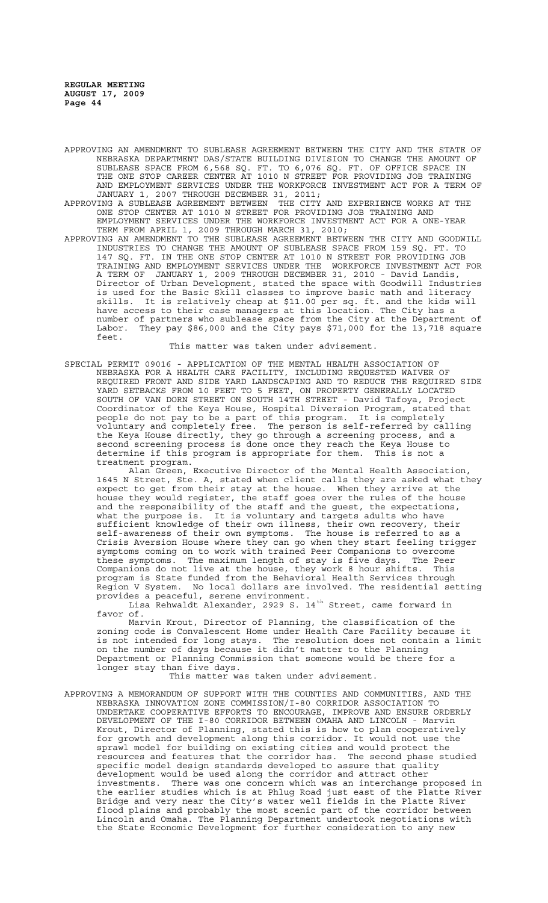APPROVING AN AMENDMENT TO SUBLEASE AGREEMENT BETWEEN THE CITY AND THE STATE OF NEBRASKA DEPARTMENT DAS/STATE BUILDING DIVISION TO CHANGE THE AMOUNT OF SUBLEASE SPACE FROM 6,568 SQ. FT. TO 6,076 SQ. FT. OF OFFICE SPACE IN THE ONE STOP CAREER CENTER AT 1010 N STREET FOR PROVIDING JOB TRAINING AND EMPLOYMENT SERVICES UNDER THE WORKFORCE INVESTMENT ACT FOR A TERM OF JANUARY 1, 2007 THROUGH DECEMBER 31, 2011;

APPROVING A SUBLEASE AGREEMENT BETWEEN THE CITY AND EXPERIENCE WORKS AT THE ONE STOP CENTER AT 1010 N STREET FOR PROVIDING JOB TRAINING AND EMPLOYMENT SERVICES UNDER THE WORKFORCE INVESTMENT ACT FOR A ONE-YEAR TERM FROM APRIL 1, 2009 THROUGH MARCH 31, 2010;

APPROVING AN AMENDMENT TO THE SUBLEASE AGREEMENT BETWEEN THE CITY AND GOODWILL INDUSTRIES TO CHANGE THE AMOUNT OF SUBLEASE SPACE FROM 159 SQ. FT. TO 147 SQ. FT. IN THE ONE STOP CENTER AT 1010 N STREET FOR PROVIDING JOB TRAINING AND EMPLOYMENT SERVICES UNDER THE WORKFORCE INVESTMENT ACT FOR A TERM OF JANUARY 1, 2009 THROUGH DECEMBER 31, 2010 - David Landis, Director of Urban Development, stated the space with Goodwill Industries is used for the Basic Skill classes to improve basic math and literacy skills. It is relatively cheap at \$11.00 per sq. ft. and the kids will have access to their case managers at this location. The City has a number of partners who sublease space from the City at the Department of Labor. They pay \$86,000 and the City pays \$71,000 for the 13,718 square feet.

This matter was taken under advisement.

SPECIAL PERMIT 09016 - APPLICATION OF THE MENTAL HEALTH ASSOCIATION OF NEBRASKA FOR A HEALTH CARE FACILITY, INCLUDING REQUESTED WAIVER OF REQUIRED FRONT AND SIDE YARD LANDSCAPING AND TO REDUCE THE REQUIRED SIDE YARD SETBACKS FROM 10 FEET TO 5 FEET, ON PROPERTY GENERALLY LOCATED SOUTH OF VAN DORN STREET ON SOUTH 14TH STREET - David Tafoya, Project Coordinator of the Keya House, Hospital Diversion Program, stated that people do not pay to be a part of this program. It is completely voluntary and completely free. The person is self-referred by calling the Keya House directly, they go through a screening process, and a second screening process is done once they reach the Keya House to determine if this program is appropriate for them. This is not a treatment program.

Alan Green, Executive Director of the Mental Health Association, 1645 N Street, Ste. A, stated when client calls they are asked what they expect to get from their stay at the house. When they arrive at the house they would register, the staff goes over the rules of the house and the responsibility of the staff and the guest, the expectations, what the purpose is. It is voluntary and targets adults who have sufficient knowledge of their own illness, their own recovery, their self-awareness of their own symptoms. The house is referred to as a Crisis Aversion House where they can go when they start feeling trigger symptoms coming on to work with trained Peer Companions to overcome these symptoms. The maximum length of stay is five days. The Peer Companions do not live at the house, they work 8 hour shifts. This program is State funded from the Behavioral Health Services through .<br>Region V System. No local dollars are involved. The residential setting provides a peaceful, serene environment.

Lisa Rehwaldt Alexander, 2929 S. 14<sup>th</sup> Street, came forward in favor of.

Marvin Krout, Director of Planning, the classification of the zoning code is Convalescent Home under Health Care Facility because it is not intended for long stays. The resolution does not contain a limit on the number of days because it didn't matter to the Planning Department or Planning Commission that someone would be there for a longer stay than five days.

This matter was taken under advisement.

APPROVING A MEMORANDUM OF SUPPORT WITH THE COUNTIES AND COMMUNITIES, AND THE NEBRASKA INNOVATION ZONE COMMISSION/I-80 CORRIDOR ASSOCIATION TO UNDERTAKE COOPERATIVE EFFORTS TO ENCOURAGE, IMPROVE AND ENSURE ORDERLY DEVELOPMENT OF THE I-80 CORRIDOR BETWEEN OMAHA AND LINCOLN - Marvin Krout, Director of Planning, stated this is how to plan cooperatively for growth and development along this corridor. It would not use the sprawl model for building on existing cities and would protect the resources and features that the corridor has. The second phase studied specific model design standards developed to assure that quality development would be used along the corridor and attract other investments. There was one concern which was an interchange proposed in the earlier studies which is at Phlug Road just east of the Platte River Bridge and very near the City's water well fields in the Platte River flood plains and probably the most scenic part of the corridor between Lincoln and Omaha. The Planning Department undertook negotiations with the State Economic Development for further consideration to any new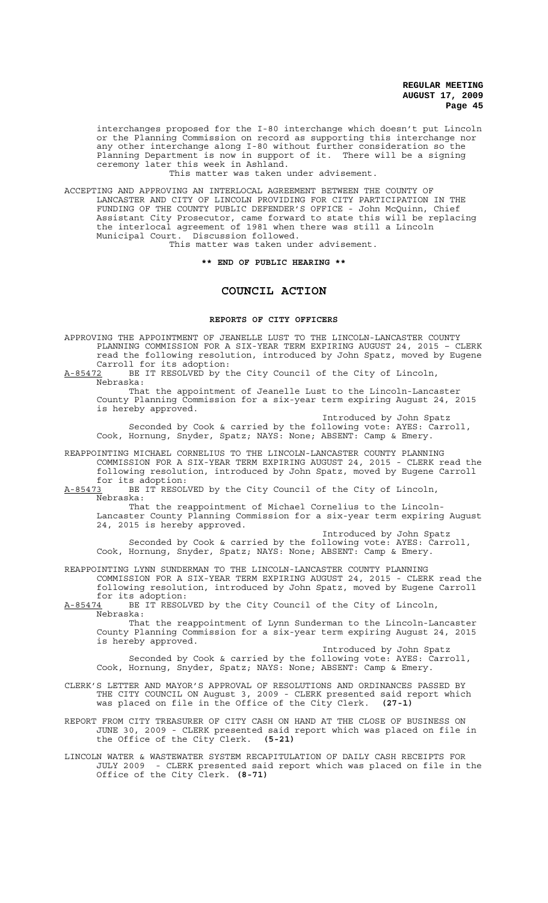interchanges proposed for the I-80 interchange which doesn't put Lincoln or the Planning Commission on record as supporting this interchange nor any other interchange along I-80 without further consideration so the Planning Department is now in support of it. There will be a signing ceremony later this week in Ashland.

This matter was taken under advisement.

ACCEPTING AND APPROVING AN INTERLOCAL AGREEMENT BETWEEN THE COUNTY OF LANCASTER AND CITY OF LINCOLN PROVIDING FOR CITY PARTICIPATION IN THE FUNDING OF THE COUNTY PUBLIC DEFENDER'S OFFICE - John McQuinn, Chief Assistant City Prosecutor, came forward to state this will be replacing the interlocal agreement of 1981 when there was still a Lincoln Municipal Court. Discussion followed.

This matter was taken under advisement.

## **\*\* END OF PUBLIC HEARING \*\***

# **COUNCIL ACTION**

## **REPORTS OF CITY OFFICERS**

APPROVING THE APPOINTMENT OF JEANELLE LUST TO THE LINCOLN-LANCASTER COUNTY PLANNING COMMISSION FOR A SIX-YEAR TERM EXPIRING AUGUST 24, 2015 – CLERK read the following resolution, introduced by John Spatz, moved by Eugene Carroll for its adoption:<br>A-85472 BE IT RESOLVED by t

BE IT RESOLVED by the City Council of the City of Lincoln, Nebraska:

That the appointment of Jeanelle Lust to the Lincoln-Lancaster County Planning Commission for a six-year term expiring August 24, 2015 is hereby approved.

Introduced by John Spatz Seconded by Cook & carried by the following vote: AYES: Carroll, Cook, Hornung, Snyder, Spatz; NAYS: None; ABSENT: Camp & Emery.

REAPPOINTING MICHAEL CORNELIUS TO THE LINCOLN-LANCASTER COUNTY PLANNING COMMISSION FOR A SIX-YEAR TERM EXPIRING AUGUST 24, 2015 - CLERK read the following resolution, introduced by John Spatz, moved by Eugene Carroll

for its adoption:<br>A-85473 BE IT RESOL BE IT RESOLVED by the City Council of the City of Lincoln, Nebraska:

That the reappointment of Michael Cornelius to the Lincoln-Lancaster County Planning Commission for a six-year term expiring August 24, 2015 is hereby approved.

Introduced by John Spatz

Seconded by Cook & carried by the following vote: AYES: Carroll, Cook, Hornung, Snyder, Spatz; NAYS: None; ABSENT: Camp & Emery.

REAPPOINTING LYNN SUNDERMAN TO THE LINCOLN-LANCASTER COUNTY PLANNING COMMISSION FOR A SIX-YEAR TERM EXPIRING AUGUST 24, 2015 - CLERK read the following resolution, introduced by John Spatz, moved by Eugene Carroll for its adoption:

A-85474 BE IT RESOLVED by the City Council of the City of Lincoln, Nebraska:

That the reappointment of Lynn Sunderman to the Lincoln-Lancaster County Planning Commission for a six-year term expiring August 24, 2015 is hereby approved.

Introduced by John Spatz Seconded by Cook & carried by the following vote: AYES: Carroll, Cook, Hornung, Snyder, Spatz; NAYS: None; ABSENT: Camp & Emery.

CLERK'S LETTER AND MAYOR'S APPROVAL OF RESOLUTIONS AND ORDINANCES PASSED BY THE CITY COUNCIL ON August 3, 2009 - CLERK presented said report which was placed on file in the Office of the City Clerk. **(27-1)**

REPORT FROM CITY TREASURER OF CITY CASH ON HAND AT THE CLOSE OF BUSINESS ON JUNE 30, 2009 - CLERK presented said report which was placed on file in the Office of the City Clerk. **(5-21)**

LINCOLN WATER & WASTEWATER SYSTEM RECAPITULATION OF DAILY CASH RECEIPTS FOR JULY 2009 - CLERK presented said report which was placed on file in the Office of the City Clerk. **(8-71)**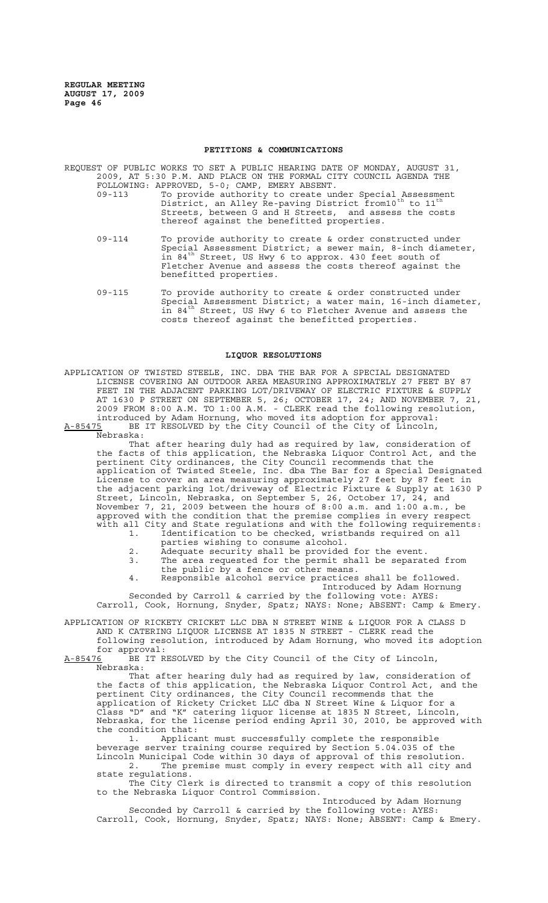#### **PETITIONS & COMMUNICATIONS**

REQUEST OF PUBLIC WORKS TO SET A PUBLIC HEARING DATE OF MONDAY, AUGUST 31, 2009, AT 5:30 P.M. AND PLACE ON THE FORMAL CITY COUNCIL AGENDA THE FOLLOWING: APPROVED, 5-0; CAMP, EMERY ABSENT.

- 09-113 To provide authority to create under Special Assessment District, an Alley Re-paving District from10<sup>th</sup> to 11<sup>th</sup> Streets, between G and H Streets, and assess the costs thereof against the benefitted properties.
- 09-114 To provide authority to create & order constructed under Special Assessment District; a sewer main, 8-inch diameter, in 84<sup>th</sup> Street, US Hwy 6 to approx. 430 feet south of Fletcher Avenue and assess the costs thereof against the benefitted properties.
- 09-115 To provide authority to create & order constructed under Special Assessment District; a water main, 16-inch diameter, in 84<sup>th</sup> Street, US Hwy 6 to Fletcher Avenue and assess the costs thereof against the benefitted properties.

### **LIQUOR RESOLUTIONS**

APPLICATION OF TWISTED STEELE, INC. DBA THE BAR FOR A SPECIAL DESIGNATED LICENSE COVERING AN OUTDOOR AREA MEASURING APPROXIMATELY 27 FEET BY 87 FEET IN THE ADJACENT PARKING LOT/DRIVEWAY OF ELECTRIC FIXTURE & SUPPLY AT 1630 P STREET ON SEPTEMBER 5, 26; OCTOBER 17, 24; AND NOVEMBER 7, 21, 2009 FROM 8:00 A.M. TO 1:00 A.M. - CLERK read the following resolution, introduced by Adam Hornung, who moved its adoption for approval: A-85475 BE IT RESOLVED by the City Council of the City of Lincoln,

Nebraska:

That after hearing duly had as required by law, consideration of the facts of this application, the Nebraska Liquor Control Act, and the pertinent City ordinances, the City Council recommends that the application of Twisted Steele, Inc. dba The Bar for a Special Designated License to cover an area measuring approximately 27 feet by 87 feet in the adjacent parking lot/driveway of Electric Fixture & Supply at 1630 P Street, Lincoln, Nebraska, on September 5, 26, October 17, 24, and November 7, 21, 2009 between the hours of 8:00 a.m. and 1:00 a.m., be approved with the condition that the premise complies in every respect with all City and State regulations and with the following requirements:

- 1. Identification to be checked, wristbands required on all
- parties wishing to consume alcohol.
- 2. Adequate security shall be provided for the event.
- 3. The area requested for the permit shall be separated from the public by a fence or other means.
- 4. Responsible alcohol service practices shall be followed. Introduced by Adam Hornung

Seconded by Carroll & carried by the following vote: AYES: Carroll, Cook, Hornung, Snyder, Spatz; NAYS: None; ABSENT: Camp & Emery.

APPLICATION OF RICKETY CRICKET LLC DBA N STREET WINE & LIQUOR FOR A CLASS D AND K CATERING LIQUOR LICENSE AT 1835 N STREET - CLERK read the following resolution, introduced by Adam Hornung, who moved its adoption

for approval:<br>A-85476 BE IT R BE IT RESOLVED by the City Council of the City of Lincoln, Nebraska:

That after hearing duly had as required by law, consideration of the facts of this application, the Nebraska Liquor Control Act, and the pertinent City ordinances, the City Council recommends that the application of Rickety Cricket LLC dba N Street Wine & Liquor for a Class "D" and "K" catering liquor license at 1835 N Street, Lincoln, Nebraska, for the license period ending April 30, 2010, be approved with the condition that:

1. Applicant must successfully complete the responsible beverage server training course required by Section 5.04.035 of the Lincoln Municipal Code within 30 days of approval of this resolution. 2. The premise must comply in every respect with all city and state regulations.

The City Clerk is directed to transmit a copy of this resolution to the Nebraska Liquor Control Commission.

Introduced by Adam Hornung

Seconded by Carroll & carried by the following vote: AYES: Carroll, Cook, Hornung, Snyder, Spatz; NAYS: None; ABSENT: Camp & Emery.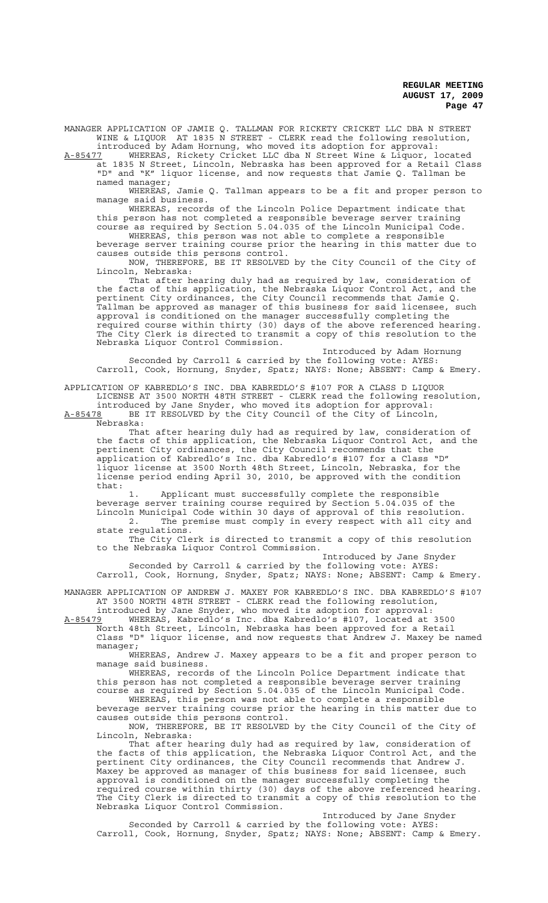MANAGER APPLICATION OF JAMIE Q. TALLMAN FOR RICKETY CRICKET LLC DBA N STREET WINE & LIQUOR AT 1835 N STREET - CLERK read the following resolution, introduced by Adam Hornung, who moved its adoption for approval:

A-85477 WHEREAS, Rickety Cricket LLC dba N Street Wine & Liquor, located at 1835 N Street, Lincoln, Nebraska has been approved for a Retail Class "D" and "K" liquor license, and now requests that Jamie Q. Tallman be named manager;

WHEREAS, Jamie Q. Tallman appears to be a fit and proper person to manage said business.

WHEREAS, records of the Lincoln Police Department indicate that this person has not completed a responsible beverage server training course as required by Section 5.04.035 of the Lincoln Municipal Code.

WHEREAS, this person was not able to complete a responsible beverage server training course prior the hearing in this matter due to causes outside this persons control.

NOW, THEREFORE, BE IT RESOLVED by the City Council of the City of Lincoln, Nebraska:

That after hearing duly had as required by law, consideration of the facts of this application, the Nebraska Liquor Control Act, and the pertinent City ordinances, the City Council recommends that Jamie Q. Tallman be approved as manager of this business for said licensee, such approval is conditioned on the manager successfully completing the required course within thirty (30) days of the above referenced hearing. The City Clerk is directed to transmit a copy of this resolution to the Nebraska Liquor Control Commission.

Introduced by Adam Hornung Seconded by Carroll & carried by the following vote: AYES: Carroll, Cook, Hornung, Snyder, Spatz; NAYS: None; ABSENT: Camp & Emery.

APPLICATION OF KABREDLO'S INC. DBA KABREDLO'S #107 FOR A CLASS D LIQUOR LICENSE AT 3500 NORTH 48TH STREET - CLERK read the following resolution, introduced by Jane Snyder, who moved its adoption for approval:

A-85478 BE IT RESOLVED by the City Council of the City of Lincoln, Nebraska:

That after hearing duly had as required by law, consideration of the facts of this application, the Nebraska Liquor Control Act, and the pertinent City ordinances, the City Council recommends that the application of Kabredlo's Inc. dba Kabredlo's #107 for a Class "D" liquor license at 3500 North 48th Street, Lincoln, Nebraska, for the license period ending April 30, 2010, be approved with the condition that:

1. Applicant must successfully complete the responsible beverage server training course required by Section 5.04.035 of the Lincoln Municipal Code within 30 days of approval of this resolution. 2. The premise must comply in every respect with all city and

state regulations. The City Clerk is directed to transmit a copy of this resolution to the Nebraska Liquor Control Commission.

Introduced by Jane Snyder Seconded by Carroll & carried by the following vote: AYES:

Carroll, Cook, Hornung, Snyder, Spatz; NAYS: None; ABSENT: Camp & Emery.

MANAGER APPLICATION OF ANDREW J. MAXEY FOR KABREDLO'S INC. DBA KABREDLO'S #107 AT 3500 NORTH 48TH STREET - CLERK read the following resolution,

introduced by Jane Snyder, who moved its adoption for approval: A-85479 WHEREAS, Kabredlo's Inc. dba Kabredlo's #107, located at 3500 North 48th Street, Lincoln, Nebraska has been approved for a Retail Class "D" liquor license, and now requests that Andrew J. Maxey be named

manager; WHEREAS, Andrew J. Maxey appears to be a fit and proper person to

manage said business. WHEREAS, records of the Lincoln Police Department indicate that this person has not completed a responsible beverage server training course as required by Section 5.04.035 of the Lincoln Municipal Code.

WHEREAS, this person was not able to complete a responsible beverage server training course prior the hearing in this matter due to

causes outside this persons control. NOW, THEREFORE, BE IT RESOLVED by the City Council of the City of

Lincoln, Nebraska: That after hearing duly had as required by law, consideration of the facts of this application, the Nebraska Liquor Control Act, and the pertinent City ordinances, the City Council recommends that Andrew J. Maxey be approved as manager of this business for said licensee, such approval is conditioned on the manager successfully completing the required course within thirty (30) days of the above referenced hearing. The City Clerk is directed to transmit a copy of this resolution to the Nebraska Liquor Control Commission.

Introduced by Jane Snyder Seconded by Carroll & carried by the following vote: AYES: Carroll, Cook, Hornung, Snyder, Spatz; NAYS: None; ABSENT: Camp & Emery.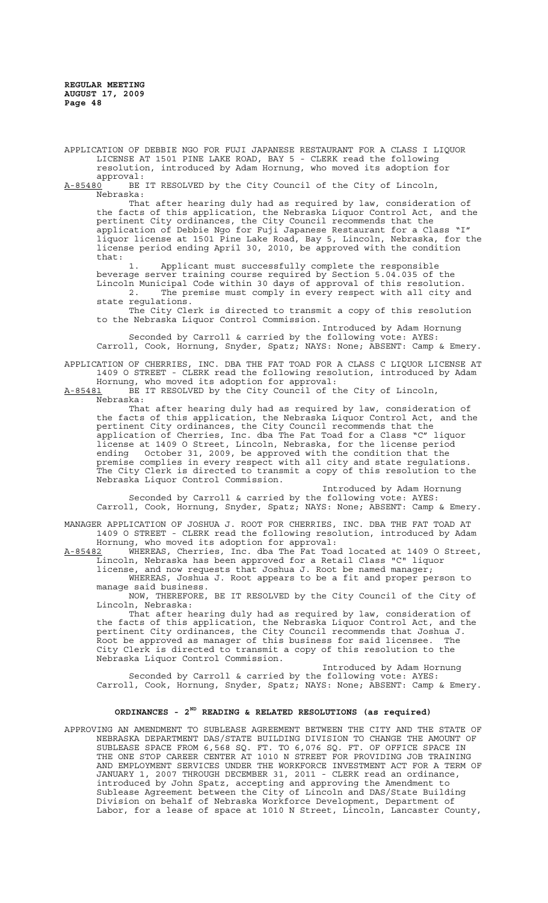APPLICATION OF DEBBIE NGO FOR FUJI JAPANESE RESTAURANT FOR A CLASS I LIQUOR LICENSE AT 1501 PINE LAKE ROAD, BAY 5 - CLERK read the following resolution, introduced by Adam Hornung, who moved its adoption for

approval:<br><u>A-85480</u> BE BE IT RESOLVED by the City Council of the City of Lincoln, Nebraska:

That after hearing duly had as required by law, consideration of the facts of this application, the Nebraska Liquor Control Act, and the pertinent City ordinances, the City Council recommends that the application of Debbie Ngo for Fuji Japanese Restaurant for a Class "I" liquor license at 1501 Pine Lake Road, Bay 5, Lincoln, Nebraska, for the license period ending April 30, 2010, be approved with the condition that:

1. Applicant must successfully complete the responsible beverage server training course required by Section 5.04.035 of the Lincoln Municipal Code within 30 days of approval of this resolution. 2. The premise must comply in every respect with all city and state regulations.

The City Clerk is directed to transmit a copy of this resolution to the Nebraska Liquor Control Commission.

Introduced by Adam Hornung Seconded by Carroll & carried by the following vote: AYES: Carroll, Cook, Hornung, Snyder, Spatz; NAYS: None; ABSENT: Camp & Emery.

APPLICATION OF CHERRIES, INC. DBA THE FAT TOAD FOR A CLASS C LIQUOR LICENSE AT 1409 O STREET - CLERK read the following resolution, introduced by Adam Hornung, who moved its adoption for approval:

A-85481 BE IT RESOLVED by the City Council of the City of Lincoln, Nebraska:

That after hearing duly had as required by law, consideration of the facts of this application, the Nebraska Liquor Control Act, and the pertinent City ordinances, the City Council recommends that the application of Cherries, Inc. dba The Fat Toad for a Class "C" liquor license at 1409 O Street, Lincoln, Nebraska, for the license period ending October 31, 2009, be approved with the condition that the premise complies in every respect with all city and state regulations. The City Clerk is directed to transmit a copy of this resolution to the Nebraska Liquor Control Commission.

Introduced by Adam Hornung Seconded by Carroll & carried by the following vote: AYES: Carroll, Cook, Hornung, Snyder, Spatz; NAYS: None; ABSENT: Camp & Emery.

MANAGER APPLICATION OF JOSHUA J. ROOT FOR CHERRIES, INC. DBA THE FAT TOAD AT 1409 O STREET - CLERK read the following resolution, introduced by Adam Hornung, who moved its adoption for approval:

A-85482 WHEREAS, Cherries, Inc. dba The Fat Toad located at 1409 O Street,<br>Lincoln. Nebraska has been approved for a Retail Class "C" liquor Lincoln, Nebraska has been approved for a Retail Class "C" liquor

license, and now requests that Joshua J. Root be named manager; WHEREAS, Joshua J. Root appears to be a fit and proper person to manage said business.

NOW, THEREFORE, BE IT RESOLVED by the City Council of the City of Lincoln, Nebraska:

That after hearing duly had as required by law, consideration of the facts of this application, the Nebraska Liquor Control Act, and the pertinent City ordinances, the City Council recommends that Joshua J. Root be approved as manager of this business for said licensee. The City Clerk is directed to transmit a copy of this resolution to the Nebraska Liquor Control Commission.

Introduced by Adam Hornung

Seconded by Carroll & carried by the following vote: AYES: Carroll, Cook, Hornung, Snyder, Spatz; NAYS: None; ABSENT: Camp & Emery.

## **ORDINANCES - 2ND READING & RELATED RESOLUTIONS (as required)**

APPROVING AN AMENDMENT TO SUBLEASE AGREEMENT BETWEEN THE CITY AND THE STATE OF NEBRASKA DEPARTMENT DAS/STATE BUILDING DIVISION TO CHANGE THE AMOUNT OF SUBLEASE SPACE FROM 6,568 SQ. FT. TO 6,076 SQ. FT. OF OFFICE SPACE IN THE ONE STOP CAREER CENTER AT 1010 N STREET FOR PROVIDING JOB TRAINING AND EMPLOYMENT SERVICES UNDER THE WORKFORCE INVESTMENT ACT FOR A TERM OF JANUARY 1, 2007 THROUGH DECEMBER 31, 2011 - CLERK read an ordinance, introduced by John Spatz, accepting and approving the Amendment to Sublease Agreement between the City of Lincoln and DAS/State Building Division on behalf of Nebraska Workforce Development, Department of Labor, for a lease of space at 1010 N Street, Lincoln, Lancaster County,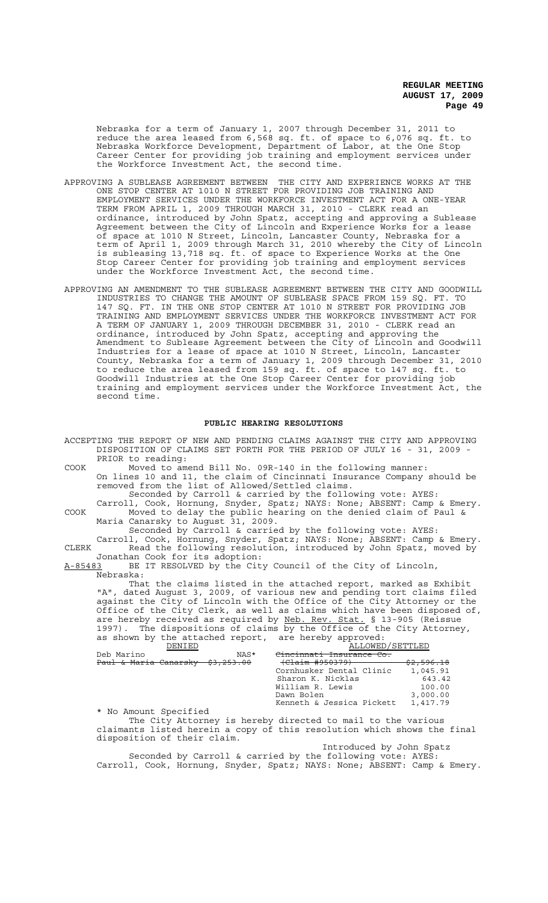Nebraska for a term of January 1, 2007 through December 31, 2011 to reduce the area leased from 6,568 sq. ft. of space to 6,076 sq. ft. to Nebraska Workforce Development, Department of Labor, at the One Stop Career Center for providing job training and employment services under the Workforce Investment Act, the second time.

- APPROVING A SUBLEASE AGREEMENT BETWEEN THE CITY AND EXPERIENCE WORKS AT THE ONE STOP CENTER AT 1010 N STREET FOR PROVIDING JOB TRAINING AND EMPLOYMENT SERVICES UNDER THE WORKFORCE INVESTMENT ACT FOR A ONE-YEAR TERM FROM APRIL 1, 2009 THROUGH MARCH 31, 2010 - CLERK read an ordinance, introduced by John Spatz, accepting and approving a Sublease Agreement between the City of Lincoln and Experience Works for a lease of space at 1010 N Street, Lincoln, Lancaster County, Nebraska for a term of April 1, 2009 through March 31, 2010 whereby the City of Lincoln is subleasing 13,718 sq. ft. of space to Experience Works at the One Stop Career Center for providing job training and employment services under the Workforce Investment Act, the second time.
- APPROVING AN AMENDMENT TO THE SUBLEASE AGREEMENT BETWEEN THE CITY AND GOODWILL INDUSTRIES TO CHANGE THE AMOUNT OF SUBLEASE SPACE FROM 159 SQ. FT. TO 147 SQ. FT. IN THE ONE STOP CENTER AT 1010 N STREET FOR PROVIDING JOB TRAINING AND EMPLOYMENT SERVICES UNDER THE WORKFORCE INVESTMENT ACT FOR A TERM OF JANUARY 1, 2009 THROUGH DECEMBER 31, 2010 - CLERK read an ordinance, introduced by John Spatz, accepting and approving the Amendment to Sublease Agreement between the City of Lincoln and Goodwill Industries for a lease of space at 1010 N Street, Lincoln, Lancaster County, Nebraska for a term of January 1, 2009 through December 31, 2010 to reduce the area leased from 159 sq. ft. of space to 147 sq. ft. to Goodwill Industries at the One Stop Career Center for providing job training and employment services under the Workforce Investment Act, the second time.

#### **PUBLIC HEARING RESOLUTIONS**

ACCEPTING THE REPORT OF NEW AND PENDING CLAIMS AGAINST THE CITY AND APPROVING DISPOSITION OF CLAIMS SET FORTH FOR THE PERIOD OF JULY 16 - 31, 2009 - PRIOR to reading:

COOK Moved to amend Bill No. 09R-140 in the following manner: On lines 10 and 11, the claim of Cincinnati Insurance Company should be removed from the list of Allowed/Settled claims.

Seconded by Carroll & carried by the following vote: AYES: Carroll, Cook, Hornung, Snyder, Spatz; NAYS: None; ABSENT: Camp & Emery. COOK Moved to delay the public hearing on the denied claim of Paul & Maria Canarsky to August 31, 2009.

Seconded by Carroll & carried by the following vote: AYES: Carroll, Cook, Hornung, Snyder, Spatz; NAYS: None; ABSENT: Camp & Emery. CLERK Read the following resolution, introduced by John Spatz, moved by

Jonathan Cook for its adoption:<br>A-85483 BE IT RESOLVED by the Cit BE IT RESOLVED by the City Council of the City of Lincoln, Nebraska:

That the claims listed in the attached report, marked as Exhibit "A", dated August 3, 2009, of various new and pending tort claims filed against the City of Lincoln with the Office of the City Attorney or the Office of the City Clerk, as well as claims which have been disposed of, are hereby received as required by Neb. Rev. Stat. § 13-905 (Reissue 1997). The dispositions of claims by the Office of the City Attorney, as shown by the attached report, are hereby approved:

| DENTED                                                 | ALLOWED/SETTLED |
|--------------------------------------------------------|-----------------|
| Deb Marino<br>NAS*<br><del>mnati Insurance Co.</del>   |                 |
| (Claim #950379)<br>Paul & Maria Canarsky<br>\$3,253.00 | \$2,596.18      |
| Cornhusker Dental Clinic                               | 1,045.91        |
| Sharon K. Nicklas                                      | 643.42          |
| William R. Lewis                                       | 100.00          |
| Dawn Bolen                                             | 3,000.00        |
| Kenneth & Jessica Pickett                              | 1,417.79        |

\* No Amount Specified

The City Attorney is hereby directed to mail to the various claimants listed herein a copy of this resolution which shows the final disposition of their claim.

Introduced by John Spatz

Seconded by Carroll & carried by the following vote: AYES: Carroll, Cook, Hornung, Snyder, Spatz; NAYS: None; ABSENT: Camp & Emery.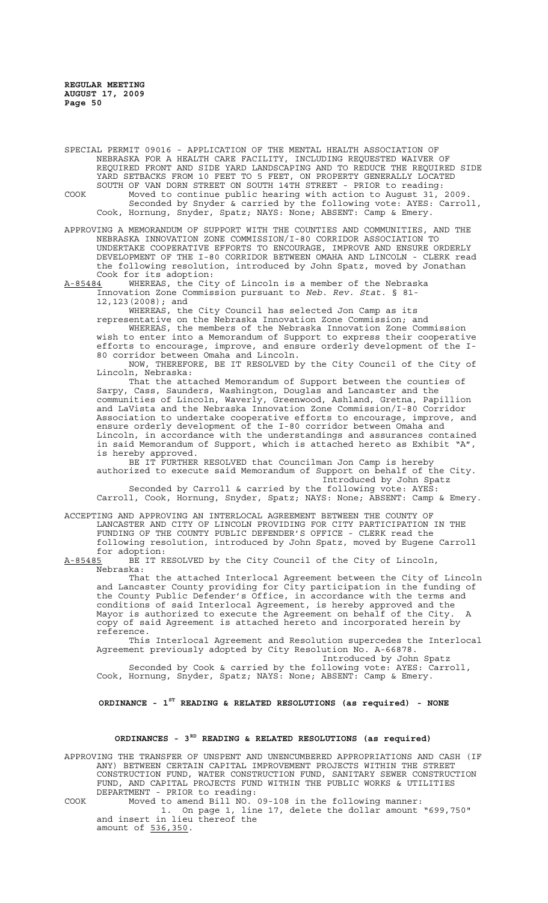SPECIAL PERMIT 09016 - APPLICATION OF THE MENTAL HEALTH ASSOCIATION OF NEBRASKA FOR A HEALTH CARE FACILITY, INCLUDING REQUESTED WAIVER OF REQUIRED FRONT AND SIDE YARD LANDSCAPING AND TO REDUCE THE REQUIRED SIDE YARD SETBACKS FROM 10 FEET TO 5 FEET, ON PROPERTY GENERALLY LOCATED SOUTH OF VAN DORN STREET ON SOUTH 14TH STREET - PRIOR to reading: COOK Moved to continue public hearing with action to August 31, 2009. Seconded by Snyder & carried by the following vote: AYES: Carroll, Cook, Hornung, Snyder, Spatz; NAYS: None; ABSENT: Camp & Emery.

APPROVING A MEMORANDUM OF SUPPORT WITH THE COUNTIES AND COMMUNITIES, AND THE NEBRASKA INNOVATION ZONE COMMISSION/I-80 CORRIDOR ASSOCIATION TO UNDERTAKE COOPERATIVE EFFORTS TO ENCOURAGE, IMPROVE AND ENSURE ORDERLY DEVELOPMENT OF THE I-80 CORRIDOR BETWEEN OMAHA AND LINCOLN - CLERK read the following resolution, introduced by John Spatz, moved by Jonathan Cook for its adoption:<br>A-85484 WHEREAS, the City

A-85484 WHEREAS, the City of Lincoln is a member of the Nebraska Innovation Zone Commission pursuant to *Neb. Rev. Stat.* § 81- 12,123(2008); and

WHEREAS, the City Council has selected Jon Camp as its

representative on the Nebraska Innovation Zone Commission; and

WHEREAS, the members of the Nebraska Innovation Zone Commission wish to enter into a Memorandum of Support to express their cooperative efforts to encourage, improve, and ensure orderly development of the I-80 corridor between Omaha and Lincoln.

NOW, THEREFORE, BE IT RESOLVED by the City Council of the City of Lincoln, Nebraska:

That the attached Memorandum of Support between the counties of Sarpy, Cass, Saunders, Washington, Douglas and Lancaster and the communities of Lincoln, Waverly, Greenwood, Ashland, Gretna, Papillion and LaVista and the Nebraska Innovation Zone Commission/I-80 Corridor Association to undertake cooperative efforts to encourage, improve, and ensure orderly development of the I-80 corridor between Omaha and Lincoln, in accordance with the understandings and assurances contained in said Memorandum of Support, which is attached hereto as Exhibit "A", is hereby approved.

BE IT FURTHER RESOLVED that Councilman Jon Camp is hereby authorized to execute said Memorandum of Support on behalf of the City. Introduced by John Spatz Seconded by Carroll & carried by the following vote: AYES:

Carroll, Cook, Hornung, Snyder, Spatz; NAYS: None; ABSENT: Camp & Emery.

ACCEPTING AND APPROVING AN INTERLOCAL AGREEMENT BETWEEN THE COUNTY OF LANCASTER AND CITY OF LINCOLN PROVIDING FOR CITY PARTICIPATION IN THE FUNDING OF THE COUNTY PUBLIC DEFENDER'S OFFICE - CLERK read the following resolution, introduced by John Spatz, moved by Eugene Carroll for adoption:<br>A-85485 BE IT R

BE IT RESOLVED by the City Council of the City of Lincoln, Nebraska:

That the attached Interlocal Agreement between the City of Lincoln and Lancaster County providing for City participation in the funding of the County Public Defender's Office, in accordance with the terms and conditions of said Interlocal Agreement, is hereby approved and the Mayor is authorized to execute the Agreement on behalf of the City. copy of said Agreement is attached hereto and incorporated herein by reference.

This Interlocal Agreement and Resolution supercedes the Interlocal Agreement previously adopted by City Resolution No. A-66878. Introduced by John Spatz

Seconded by Cook & carried by the following vote: AYES: Carroll, Cook, Hornung, Snyder, Spatz; NAYS: None; ABSENT: Camp & Emery.

**ORDINANCE - 1ST READING & RELATED RESOLUTIONS (as required) - NONE**

## **ORDINANCES - 3RD READING & RELATED RESOLUTIONS (as required)**

APPROVING THE TRANSFER OF UNSPENT AND UNENCUMBERED APPROPRIATIONS AND CASH (IF ANY) BETWEEN CERTAIN CAPITAL IMPROVEMENT PROJECTS WITHIN THE STREET CONSTRUCTION FUND, WATER CONSTRUCTION FUND, SANITARY SEWER CONSTRUCTION FUND, AND CAPITAL PROJECTS FUND WITHIN THE PUBLIC WORKS & UTILITIES DEPARTMENT - PRIOR to reading:

COOK Moved to amend Bill NO. 09-108 in the following manner:

1. On page 1, line 17, delete the dollar amount "699,750" and insert in lieu thereof the amount of 536,350.